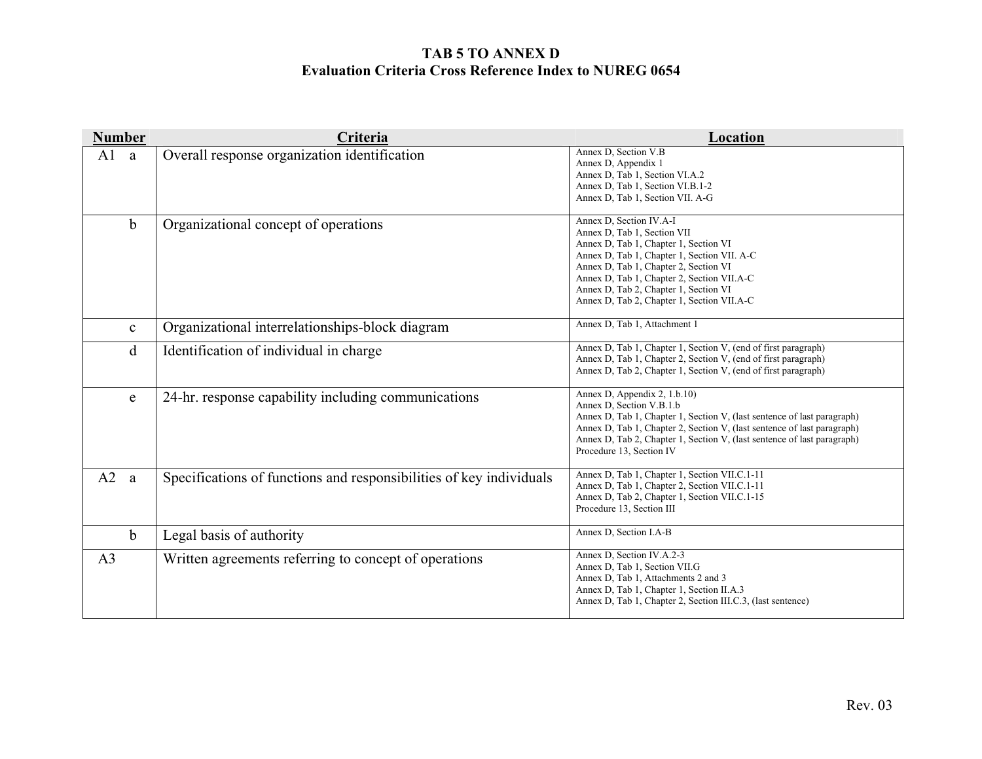| <b>Number</b>       | Criteria                                                            | Location                                                                                                                                                                                                                                                                                                                     |
|---------------------|---------------------------------------------------------------------|------------------------------------------------------------------------------------------------------------------------------------------------------------------------------------------------------------------------------------------------------------------------------------------------------------------------------|
| A <sub>1</sub><br>a | Overall response organization identification                        | Annex D, Section V.B<br>Annex D, Appendix 1<br>Annex D, Tab 1, Section VI.A.2<br>Annex D, Tab 1, Section VI.B.1-2<br>Annex D, Tab 1, Section VII. A-G                                                                                                                                                                        |
| $\mathbf b$         | Organizational concept of operations                                | Annex D, Section IV.A-I<br>Annex D, Tab 1, Section VII<br>Annex D, Tab 1, Chapter 1, Section VI<br>Annex D, Tab 1, Chapter 1, Section VII. A-C<br>Annex D, Tab 1, Chapter 2, Section VI<br>Annex D, Tab 1, Chapter 2, Section VII.A-C<br>Annex D, Tab 2, Chapter 1, Section VI<br>Annex D, Tab 2, Chapter 1, Section VII.A-C |
| $\mathbf{c}$        | Organizational interrelationships-block diagram                     | Annex D, Tab 1, Attachment 1                                                                                                                                                                                                                                                                                                 |
| d                   | Identification of individual in charge                              | Annex D, Tab 1, Chapter 1, Section V, (end of first paragraph)<br>Annex D, Tab 1, Chapter 2, Section V, (end of first paragraph)<br>Annex D, Tab 2, Chapter 1, Section V, (end of first paragraph)                                                                                                                           |
| e                   | 24-hr. response capability including communications                 | Annex D, Appendix 2, 1.b.10)<br>Annex D, Section V.B.1.b<br>Annex D, Tab 1, Chapter 1, Section V, (last sentence of last paragraph)<br>Annex D, Tab 1, Chapter 2, Section V, (last sentence of last paragraph)<br>Annex D, Tab 2, Chapter 1, Section V, (last sentence of last paragraph)<br>Procedure 13, Section IV        |
| A2<br><sub>a</sub>  | Specifications of functions and responsibilities of key individuals | Annex D, Tab 1, Chapter 1, Section VII.C.1-11<br>Annex D, Tab 1, Chapter 2, Section VII.C.1-11<br>Annex D, Tab 2, Chapter 1, Section VII.C.1-15<br>Procedure 13, Section III                                                                                                                                                 |
| $\mathbf b$         | Legal basis of authority                                            | Annex D, Section I.A-B                                                                                                                                                                                                                                                                                                       |
| A <sub>3</sub>      | Written agreements referring to concept of operations               | Annex D, Section IV.A.2-3<br>Annex D, Tab 1, Section VII.G<br>Annex D, Tab 1, Attachments 2 and 3<br>Annex D, Tab 1, Chapter 1, Section II.A.3<br>Annex D, Tab 1, Chapter 2, Section III.C.3, (last sentence)                                                                                                                |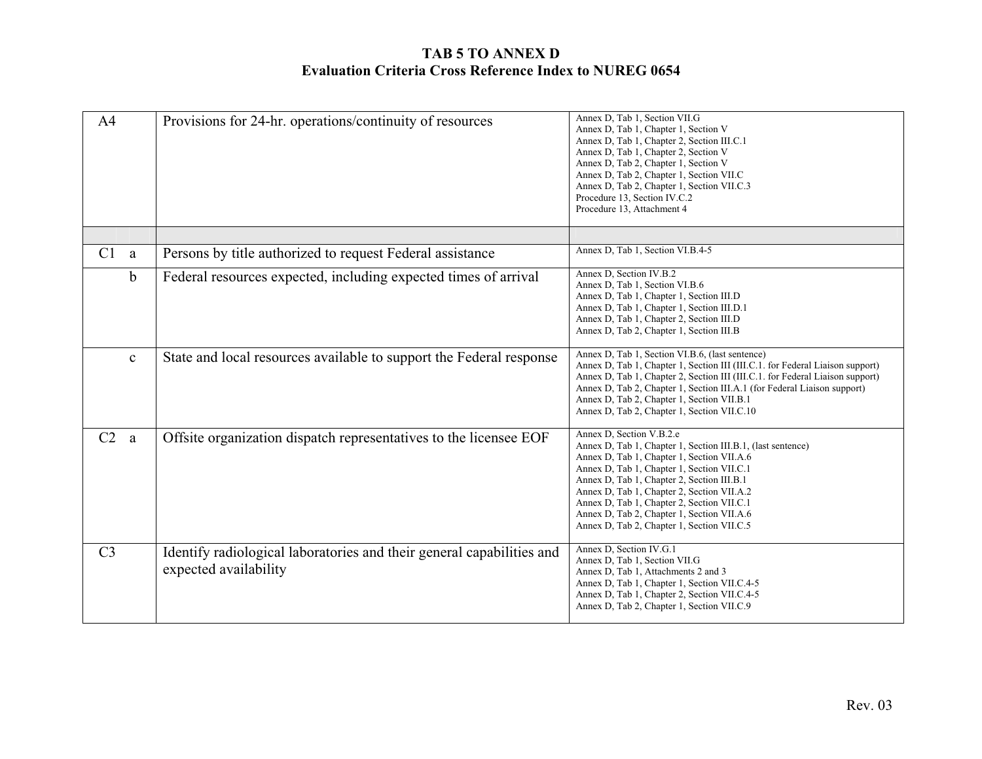| A <sub>4</sub> | Provisions for 24-hr. operations/continuity of resources                                       | Annex D, Tab 1, Section VII.G<br>Annex D, Tab 1, Chapter 1, Section V<br>Annex D, Tab 1, Chapter 2, Section III.C.1<br>Annex D, Tab 1, Chapter 2, Section V<br>Annex D, Tab 2, Chapter 1, Section V<br>Annex D, Tab 2, Chapter 1, Section VII.C<br>Annex D, Tab 2, Chapter 1, Section VII.C.3<br>Procedure 13, Section IV.C.2<br>Procedure 13, Attachment 4                                                               |
|----------------|------------------------------------------------------------------------------------------------|---------------------------------------------------------------------------------------------------------------------------------------------------------------------------------------------------------------------------------------------------------------------------------------------------------------------------------------------------------------------------------------------------------------------------|
|                |                                                                                                |                                                                                                                                                                                                                                                                                                                                                                                                                           |
| C1<br>a        | Persons by title authorized to request Federal assistance                                      | Annex D, Tab 1, Section VI.B.4-5                                                                                                                                                                                                                                                                                                                                                                                          |
| $\mathbf b$    | Federal resources expected, including expected times of arrival                                | Annex D, Section IV.B.2<br>Annex D, Tab 1, Section VI.B.6<br>Annex D, Tab 1, Chapter 1, Section III.D<br>Annex D, Tab 1, Chapter 1, Section III.D.1<br>Annex D, Tab 1, Chapter 2, Section III.D<br>Annex D, Tab 2, Chapter 1, Section III.B                                                                                                                                                                               |
| $\mathbf c$    | State and local resources available to support the Federal response                            | Annex D, Tab 1, Section VI.B.6, (last sentence)<br>Annex D, Tab 1, Chapter 1, Section III (III.C.1. for Federal Liaison support)<br>Annex D, Tab 1, Chapter 2, Section III (III.C.1. for Federal Liaison support)<br>Annex D, Tab 2, Chapter 1, Section III.A.1 (for Federal Liaison support)<br>Annex D, Tab 2, Chapter 1, Section VII.B.1<br>Annex D, Tab 2, Chapter 1, Section VII.C.10                                |
| C2<br>a        | Offsite organization dispatch representatives to the licensee EOF                              | Annex D, Section V.B.2.e<br>Annex D, Tab 1, Chapter 1, Section III.B.1, (last sentence)<br>Annex D, Tab 1, Chapter 1, Section VII.A.6<br>Annex D, Tab 1, Chapter 1, Section VII.C.1<br>Annex D, Tab 1, Chapter 2, Section III.B.1<br>Annex D, Tab 1, Chapter 2, Section VII.A.2<br>Annex D, Tab 1, Chapter 2, Section VII.C.1<br>Annex D, Tab 2, Chapter 1, Section VII.A.6<br>Annex D, Tab 2, Chapter 1, Section VII.C.5 |
| C <sub>3</sub> | Identify radiological laboratories and their general capabilities and<br>expected availability | Annex D, Section IV.G.1<br>Annex D, Tab 1, Section VII.G<br>Annex D, Tab 1, Attachments 2 and 3<br>Annex D, Tab 1, Chapter 1, Section VII.C.4-5<br>Annex D, Tab 1, Chapter 2, Section VII.C.4-5<br>Annex D, Tab 2, Chapter 1, Section VII.C.9                                                                                                                                                                             |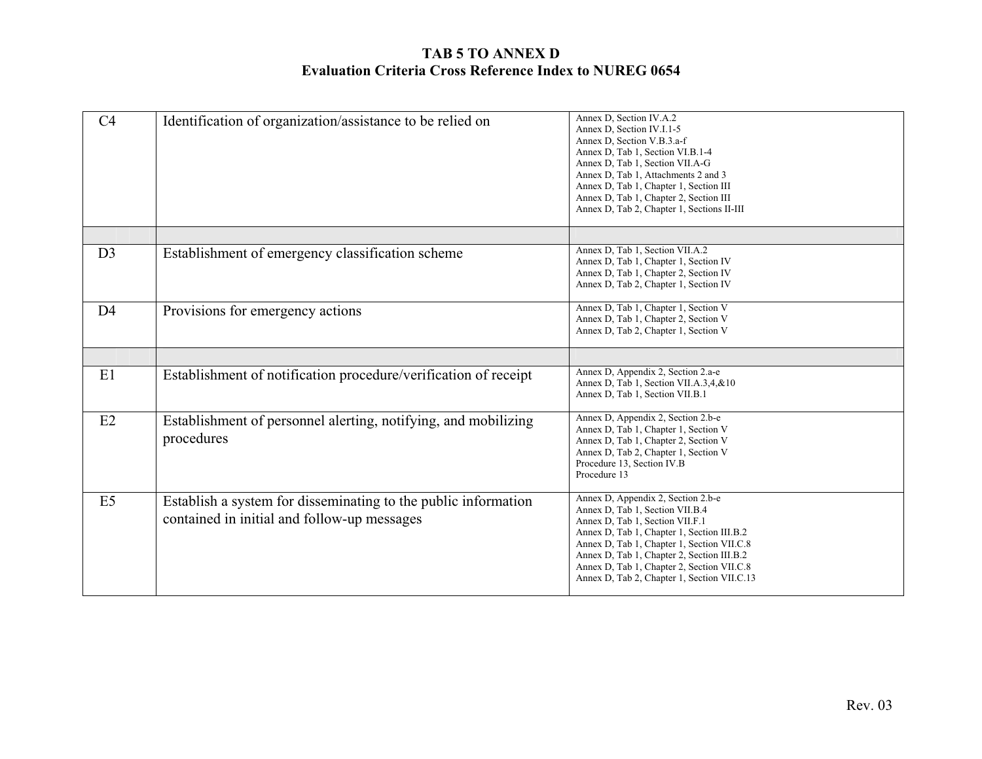| C <sub>4</sub> | Identification of organization/assistance to be relied on                                                     | Annex D, Section IV.A.2<br>Annex D, Section IV.I.1-5<br>Annex D, Section V.B.3.a-f<br>Annex D, Tab 1, Section VI.B.1-4<br>Annex D, Tab 1, Section VII.A-G<br>Annex D, Tab 1, Attachments 2 and 3<br>Annex D, Tab 1, Chapter 1, Section III<br>Annex D, Tab 1, Chapter 2, Section III<br>Annex D, Tab 2, Chapter 1, Sections II-III              |
|----------------|---------------------------------------------------------------------------------------------------------------|-------------------------------------------------------------------------------------------------------------------------------------------------------------------------------------------------------------------------------------------------------------------------------------------------------------------------------------------------|
| D <sub>3</sub> | Establishment of emergency classification scheme                                                              | Annex D, Tab 1, Section VII.A.2<br>Annex D, Tab 1, Chapter 1, Section IV<br>Annex D, Tab 1, Chapter 2, Section IV<br>Annex D, Tab 2, Chapter 1, Section IV                                                                                                                                                                                      |
| D <sub>4</sub> | Provisions for emergency actions                                                                              | Annex D, Tab 1, Chapter 1, Section V<br>Annex D, Tab 1, Chapter 2, Section V<br>Annex D, Tab 2, Chapter 1, Section V                                                                                                                                                                                                                            |
|                |                                                                                                               |                                                                                                                                                                                                                                                                                                                                                 |
| E1             | Establishment of notification procedure/verification of receipt                                               | Annex D, Appendix 2, Section 2.a-e<br>Annex D, Tab 1, Section VII.A.3,4,&10<br>Annex D, Tab 1, Section VII.B.1                                                                                                                                                                                                                                  |
| E2             | Establishment of personnel alerting, notifying, and mobilizing<br>procedures                                  | Annex D, Appendix 2, Section 2.b-e<br>Annex D, Tab 1, Chapter 1, Section V<br>Annex D, Tab 1, Chapter 2, Section V<br>Annex D, Tab 2, Chapter 1, Section V<br>Procedure 13, Section IV.B<br>Procedure 13                                                                                                                                        |
| E <sub>5</sub> | Establish a system for disseminating to the public information<br>contained in initial and follow-up messages | Annex D, Appendix 2, Section 2.b-e<br>Annex D, Tab 1, Section VII.B.4<br>Annex D, Tab 1, Section VII.F.1<br>Annex D, Tab 1, Chapter 1, Section III.B.2<br>Annex D, Tab 1, Chapter 1, Section VII.C.8<br>Annex D, Tab 1, Chapter 2, Section III.B.2<br>Annex D, Tab 1, Chapter 2, Section VII.C.8<br>Annex D, Tab 2, Chapter 1, Section VII.C.13 |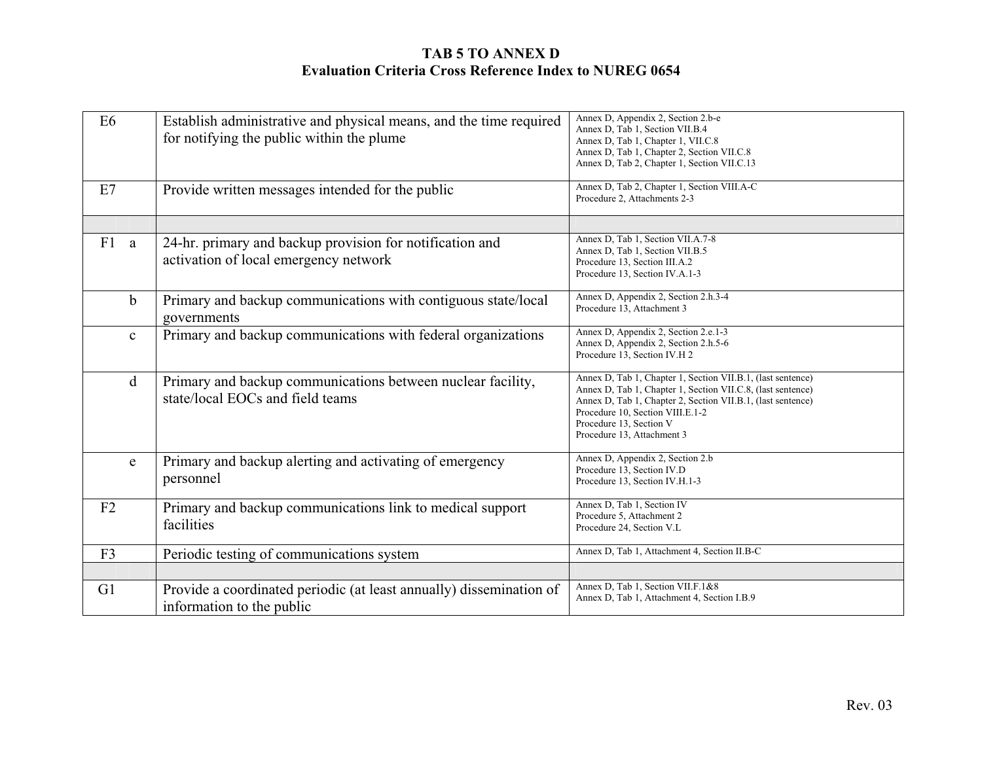| E <sub>6</sub> | Establish administrative and physical means, and the time required<br>for notifying the public within the plume | Annex D, Appendix 2, Section 2.b-e<br>Annex D, Tab 1, Section VII.B.4<br>Annex D, Tab 1, Chapter 1, VII.C.8<br>Annex D, Tab 1, Chapter 2, Section VII.C.8<br>Annex D, Tab 2, Chapter 1, Section VII.C.13                                                                               |
|----------------|-----------------------------------------------------------------------------------------------------------------|----------------------------------------------------------------------------------------------------------------------------------------------------------------------------------------------------------------------------------------------------------------------------------------|
| E7             | Provide written messages intended for the public                                                                | Annex D, Tab 2, Chapter 1, Section VIII.A-C<br>Procedure 2, Attachments 2-3                                                                                                                                                                                                            |
|                |                                                                                                                 |                                                                                                                                                                                                                                                                                        |
| F1 a           | 24-hr. primary and backup provision for notification and<br>activation of local emergency network               | Annex D, Tab 1, Section VII.A.7-8<br>Annex D, Tab 1, Section VII.B.5<br>Procedure 13, Section III.A.2<br>Procedure 13, Section IV.A.1-3                                                                                                                                                |
| $\mathbf b$    | Primary and backup communications with contiguous state/local<br>governments                                    | Annex D, Appendix 2, Section 2.h.3-4<br>Procedure 13, Attachment 3                                                                                                                                                                                                                     |
| $\mathbf{c}$   | Primary and backup communications with federal organizations                                                    | Annex D, Appendix 2, Section 2.e.1-3<br>Annex D, Appendix 2, Section 2.h.5-6<br>Procedure 13, Section IV.H 2                                                                                                                                                                           |
| $\mathbf d$    | Primary and backup communications between nuclear facility,<br>state/local EOCs and field teams                 | Annex D, Tab 1, Chapter 1, Section VII.B.1, (last sentence)<br>Annex D, Tab 1, Chapter 1, Section VII.C.8, (last sentence)<br>Annex D, Tab 1, Chapter 2, Section VII.B.1, (last sentence)<br>Procedure 10, Section VIII.E.1-2<br>Procedure 13, Section V<br>Procedure 13, Attachment 3 |
| e              | Primary and backup alerting and activating of emergency<br>personnel                                            | Annex D, Appendix 2, Section 2.b<br>Procedure 13, Section IV.D<br>Procedure 13, Section IV.H.1-3                                                                                                                                                                                       |
| F2             | Primary and backup communications link to medical support<br>facilities                                         | Annex D, Tab 1, Section IV<br>Procedure 5, Attachment 2<br>Procedure 24, Section V.L.                                                                                                                                                                                                  |
| F <sub>3</sub> | Periodic testing of communications system                                                                       | Annex D, Tab 1, Attachment 4, Section II.B-C                                                                                                                                                                                                                                           |
|                |                                                                                                                 |                                                                                                                                                                                                                                                                                        |
| G1             | Provide a coordinated periodic (at least annually) dissemination of<br>information to the public                | Annex D, Tab 1, Section VII.F.1&8<br>Annex D, Tab 1, Attachment 4, Section I.B.9                                                                                                                                                                                                       |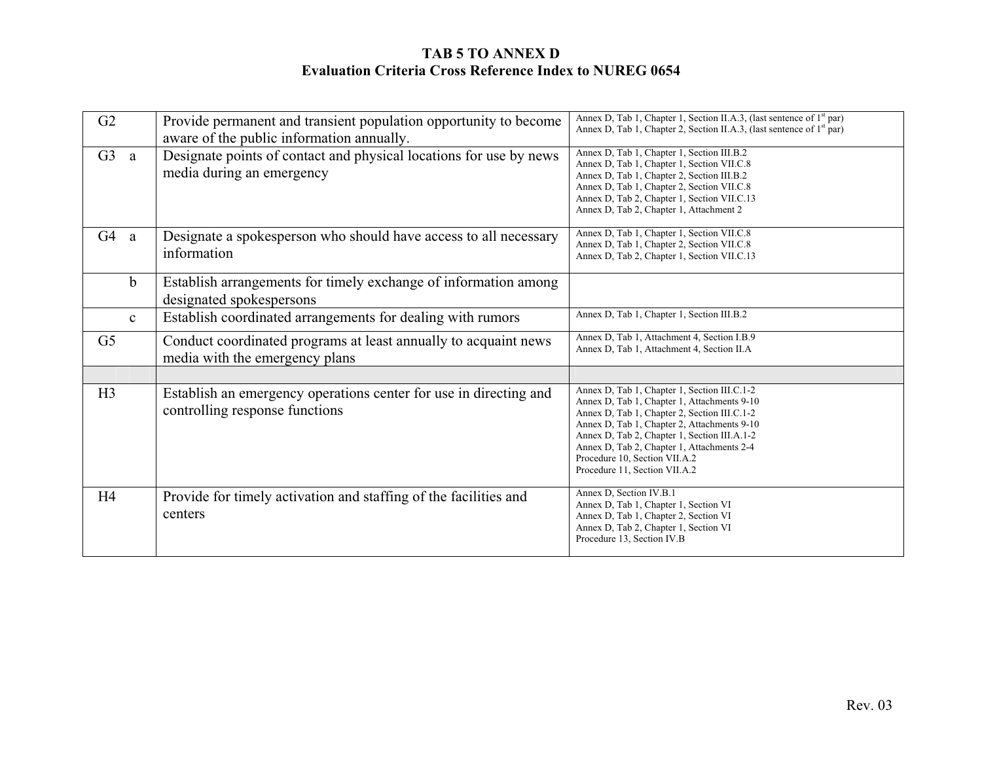| G2                 | Provide permanent and transient population opportunity to become<br>aware of the public information annually. | Annex D, Tab 1, Chapter 1, Section II.A.3, (last sentence of 1 <sup>st</sup> par)<br>Annex D, Tab 1, Chapter 2, Section II.A.3, (last sentence of 1 <sup>st</sup> par)                                                                                                                                                                                     |
|--------------------|---------------------------------------------------------------------------------------------------------------|------------------------------------------------------------------------------------------------------------------------------------------------------------------------------------------------------------------------------------------------------------------------------------------------------------------------------------------------------------|
| G3<br><sub>a</sub> | Designate points of contact and physical locations for use by news<br>media during an emergency               | Annex D, Tab 1, Chapter 1, Section III.B.2<br>Annex D, Tab 1, Chapter 1, Section VII.C.8<br>Annex D, Tab 1, Chapter 2, Section III.B.2<br>Annex D, Tab 1, Chapter 2, Section VII.C.8<br>Annex D, Tab 2, Chapter 1, Section VII.C.13<br>Annex D, Tab 2, Chapter 1, Attachment 2                                                                             |
| G4<br>a            | Designate a spokesperson who should have access to all necessary<br>information                               | Annex D, Tab 1, Chapter 1, Section VII.C.8<br>Annex D, Tab 1, Chapter 2, Section VII.C.8<br>Annex D, Tab 2, Chapter 1, Section VII.C.13                                                                                                                                                                                                                    |
| $\mathbf b$        | Establish arrangements for timely exchange of information among<br>designated spokespersons                   |                                                                                                                                                                                                                                                                                                                                                            |
| $\mathbf{c}$       | Establish coordinated arrangements for dealing with rumors                                                    | Annex D, Tab 1, Chapter 1, Section III.B.2                                                                                                                                                                                                                                                                                                                 |
| G <sub>5</sub>     | Conduct coordinated programs at least annually to acquaint news<br>media with the emergency plans             | Annex D, Tab 1, Attachment 4, Section I.B.9<br>Annex D, Tab 1, Attachment 4, Section II.A                                                                                                                                                                                                                                                                  |
|                    |                                                                                                               |                                                                                                                                                                                                                                                                                                                                                            |
| H3                 | Establish an emergency operations center for use in directing and<br>controlling response functions           | Annex D, Tab 1, Chapter 1, Section III.C.1-2<br>Annex D, Tab 1, Chapter 1, Attachments 9-10<br>Annex D, Tab 1, Chapter 2, Section III.C.1-2<br>Annex D, Tab 1, Chapter 2, Attachments 9-10<br>Annex D, Tab 2, Chapter 1, Section III.A.1-2<br>Annex D, Tab 2, Chapter 1, Attachments 2-4<br>Procedure 10, Section VII.A.2<br>Procedure 11, Section VII.A.2 |
| H <sub>4</sub>     | Provide for timely activation and staffing of the facilities and<br>centers                                   | Annex D, Section IV.B.1<br>Annex D, Tab 1, Chapter 1, Section VI<br>Annex D, Tab 1, Chapter 2, Section VI<br>Annex D, Tab 2, Chapter 1, Section VI<br>Procedure 13, Section IV.B                                                                                                                                                                           |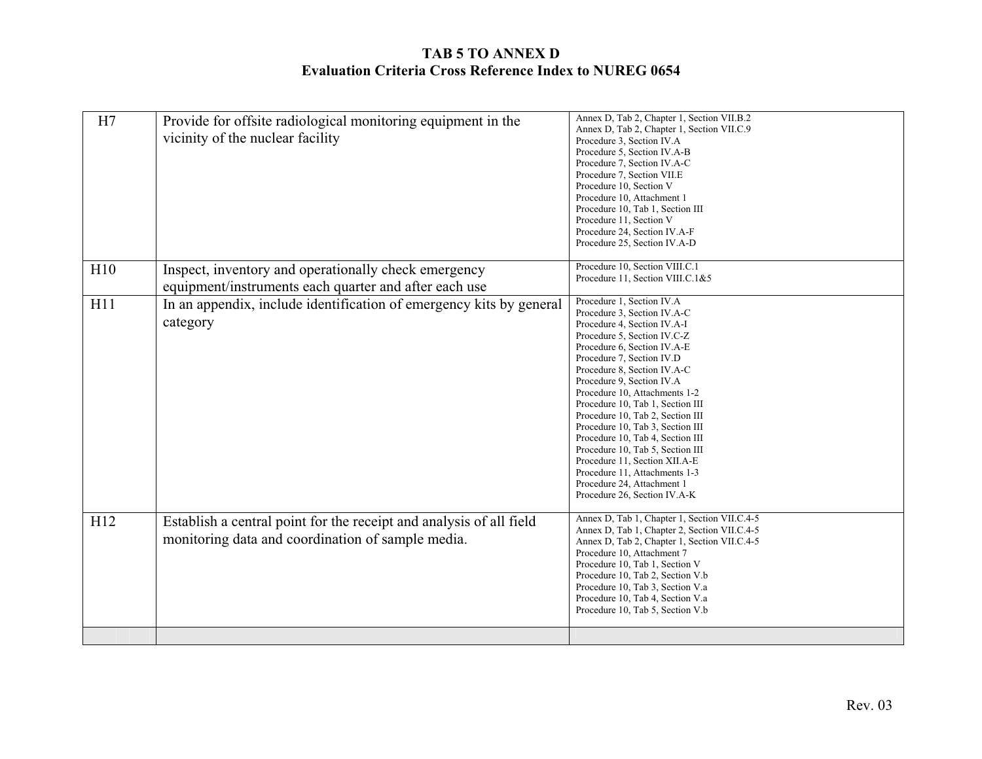| H7  | Provide for offsite radiological monitoring equipment in the<br>vicinity of the nuclear facility                         | Annex D, Tab 2, Chapter 1, Section VII.B.2<br>Annex D, Tab 2, Chapter 1, Section VII.C.9<br>Procedure 3, Section IV.A<br>Procedure 5, Section IV.A-B<br>Procedure 7, Section IV.A-C<br>Procedure 7, Section VII.E<br>Procedure 10, Section V<br>Procedure 10, Attachment 1<br>Procedure 10, Tab 1, Section III<br>Procedure 11, Section V<br>Procedure 24, Section IV.A-F<br>Procedure 25, Section IV.A-D                                                                                                                                                                                           |
|-----|--------------------------------------------------------------------------------------------------------------------------|-----------------------------------------------------------------------------------------------------------------------------------------------------------------------------------------------------------------------------------------------------------------------------------------------------------------------------------------------------------------------------------------------------------------------------------------------------------------------------------------------------------------------------------------------------------------------------------------------------|
| H10 | Inspect, inventory and operationally check emergency<br>equipment/instruments each quarter and after each use            | Procedure 10, Section VIII.C.1<br>Procedure 11, Section VIII.C.1&5                                                                                                                                                                                                                                                                                                                                                                                                                                                                                                                                  |
| H11 | In an appendix, include identification of emergency kits by general<br>category                                          | Procedure 1, Section IV.A<br>Procedure 3, Section IV.A-C<br>Procedure 4, Section IV.A-I<br>Procedure 5, Section IV.C-Z<br>Procedure 6, Section IV.A-E<br>Procedure 7, Section IV.D<br>Procedure 8, Section IV.A-C<br>Procedure 9, Section IV.A<br>Procedure 10, Attachments 1-2<br>Procedure 10, Tab 1, Section III<br>Procedure 10, Tab 2, Section III<br>Procedure 10, Tab 3, Section III<br>Procedure 10, Tab 4, Section III<br>Procedure 10, Tab 5, Section III<br>Procedure 11, Section XII.A-E<br>Procedure 11, Attachments 1-3<br>Procedure 24, Attachment 1<br>Procedure 26, Section IV.A-K |
| H12 | Establish a central point for the receipt and analysis of all field<br>monitoring data and coordination of sample media. | Annex D, Tab 1, Chapter 1, Section VII.C.4-5<br>Annex D, Tab 1, Chapter 2, Section VII.C.4-5<br>Annex D, Tab 2, Chapter 1, Section VII.C.4-5<br>Procedure 10, Attachment 7<br>Procedure 10, Tab 1, Section V<br>Procedure 10, Tab 2, Section V.b<br>Procedure 10, Tab 3, Section V.a<br>Procedure 10, Tab 4, Section V.a<br>Procedure 10, Tab 5, Section V.b                                                                                                                                                                                                                                        |
|     |                                                                                                                          |                                                                                                                                                                                                                                                                                                                                                                                                                                                                                                                                                                                                     |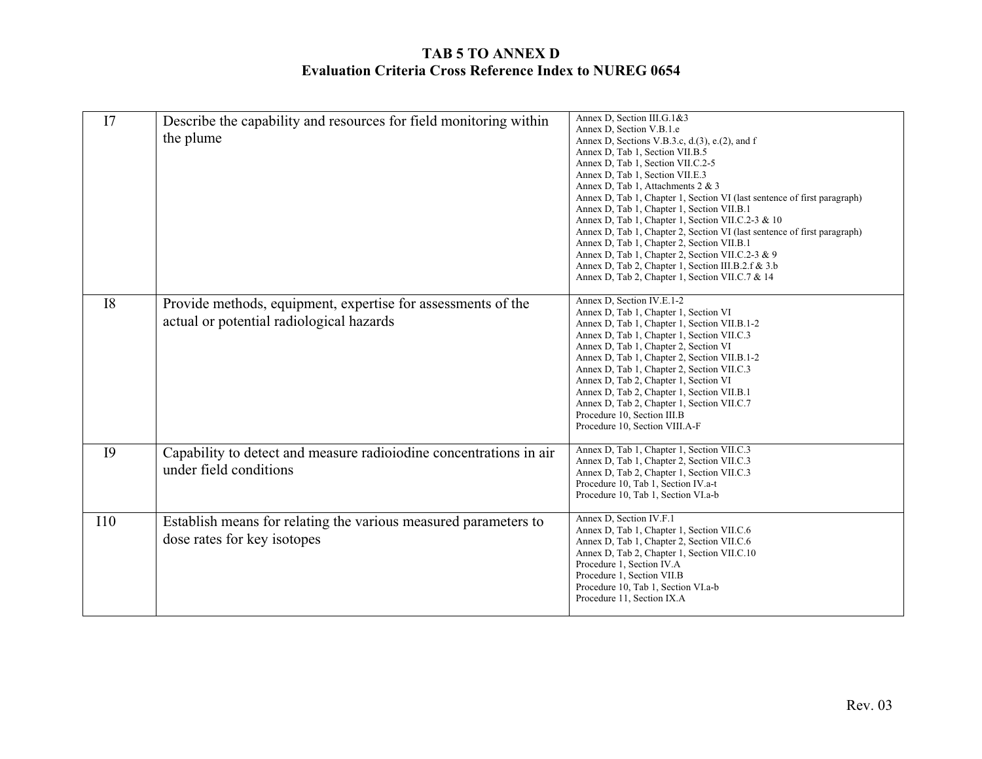| I7        | Describe the capability and resources for field monitoring within<br>the plume                           | Annex D, Section III.G.1&3<br>Annex D, Section V.B.1.e<br>Annex D, Sections V.B.3.c, d.(3), e.(2), and f<br>Annex D, Tab 1, Section VII.B.5<br>Annex D, Tab 1, Section VII.C.2-5<br>Annex D, Tab 1, Section VII.E.3<br>Annex D, Tab 1, Attachments 2 & 3<br>Annex D, Tab 1, Chapter 1, Section VI (last sentence of first paragraph)<br>Annex D, Tab 1, Chapter 1, Section VII.B.1<br>Annex D, Tab 1, Chapter 1, Section VII.C.2-3 & 10<br>Annex D, Tab 1, Chapter 2, Section VI (last sentence of first paragraph)<br>Annex D, Tab 1, Chapter 2, Section VII.B.1<br>Annex D, Tab 1, Chapter 2, Section VII.C.2-3 & 9<br>Annex D, Tab 2, Chapter 1, Section III.B.2.f & 3.b<br>Annex D, Tab 2, Chapter 1, Section VII.C.7 & 14 |
|-----------|----------------------------------------------------------------------------------------------------------|--------------------------------------------------------------------------------------------------------------------------------------------------------------------------------------------------------------------------------------------------------------------------------------------------------------------------------------------------------------------------------------------------------------------------------------------------------------------------------------------------------------------------------------------------------------------------------------------------------------------------------------------------------------------------------------------------------------------------------|
| <b>I8</b> | Provide methods, equipment, expertise for assessments of the<br>actual or potential radiological hazards | Annex D, Section IV.E.1-2<br>Annex D, Tab 1, Chapter 1, Section VI<br>Annex D, Tab 1, Chapter 1, Section VII.B.1-2<br>Annex D, Tab 1, Chapter 1, Section VII.C.3<br>Annex D, Tab 1, Chapter 2, Section VI<br>Annex D, Tab 1, Chapter 2, Section VII.B.1-2<br>Annex D, Tab 1, Chapter 2, Section VII.C.3<br>Annex D, Tab 2, Chapter 1, Section VI<br>Annex D, Tab 2, Chapter 1, Section VII.B.1<br>Annex D, Tab 2, Chapter 1, Section VII.C.7<br>Procedure 10, Section III.B<br>Procedure 10, Section VIII.A-F                                                                                                                                                                                                                  |
| <b>I9</b> | Capability to detect and measure radioiodine concentrations in air<br>under field conditions             | Annex D, Tab 1, Chapter 1, Section VII.C.3<br>Annex D, Tab 1, Chapter 2, Section VII.C.3<br>Annex D, Tab 2, Chapter 1, Section VII.C.3<br>Procedure 10, Tab 1, Section IV.a-t<br>Procedure 10, Tab 1, Section VI.a-b                                                                                                                                                                                                                                                                                                                                                                                                                                                                                                           |
| I10       | Establish means for relating the various measured parameters to<br>dose rates for key isotopes           | Annex D, Section IV.F.1<br>Annex D, Tab 1, Chapter 1, Section VII.C.6<br>Annex D, Tab 1, Chapter 2, Section VII.C.6<br>Annex D, Tab 2, Chapter 1, Section VII.C.10<br>Procedure 1, Section IV.A<br>Procedure 1, Section VII.B<br>Procedure 10, Tab 1, Section VI.a-b<br>Procedure 11, Section IX.A                                                                                                                                                                                                                                                                                                                                                                                                                             |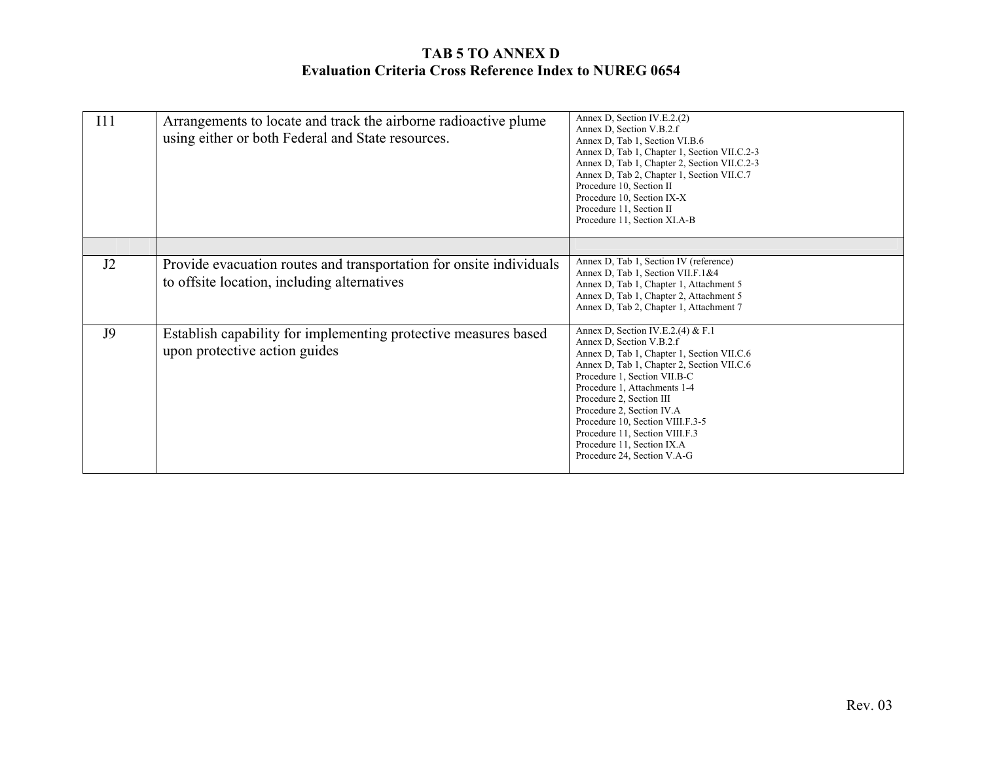| I11 | Arrangements to locate and track the airborne radioactive plume<br>using either or both Federal and State resources. | Annex D, Section IV.E.2.(2)<br>Annex D, Section V.B.2.f<br>Annex D, Tab 1, Section VI.B.6<br>Annex D, Tab 1, Chapter 1, Section VII.C.2-3<br>Annex D, Tab 1, Chapter 2, Section VII.C.2-3<br>Annex D, Tab 2, Chapter 1, Section VII.C.7<br>Procedure 10, Section II<br>Procedure 10, Section IX-X<br>Procedure 11, Section II<br>Procedure 11, Section XI.A-B                                                         |
|-----|----------------------------------------------------------------------------------------------------------------------|-----------------------------------------------------------------------------------------------------------------------------------------------------------------------------------------------------------------------------------------------------------------------------------------------------------------------------------------------------------------------------------------------------------------------|
|     |                                                                                                                      |                                                                                                                                                                                                                                                                                                                                                                                                                       |
| J2  | Provide evacuation routes and transportation for onsite individuals<br>to offsite location, including alternatives   | Annex D, Tab 1, Section IV (reference)<br>Annex D, Tab 1, Section VII.F.1&4<br>Annex D, Tab 1, Chapter 1, Attachment 5<br>Annex D, Tab 1, Chapter 2, Attachment 5<br>Annex D, Tab 2, Chapter 1, Attachment 7                                                                                                                                                                                                          |
| J9  | Establish capability for implementing protective measures based<br>upon protective action guides                     | Annex D, Section IV.E.2.(4) & F.1<br>Annex D, Section V.B.2.f<br>Annex D, Tab 1, Chapter 1, Section VII.C.6<br>Annex D, Tab 1, Chapter 2, Section VII.C.6<br>Procedure 1, Section VII.B-C<br>Procedure 1, Attachments 1-4<br>Procedure 2, Section III<br>Procedure 2, Section IV.A<br>Procedure 10, Section VIII.F.3-5<br>Procedure 11, Section VIII.F.3<br>Procedure 11, Section IX.A<br>Procedure 24, Section V.A-G |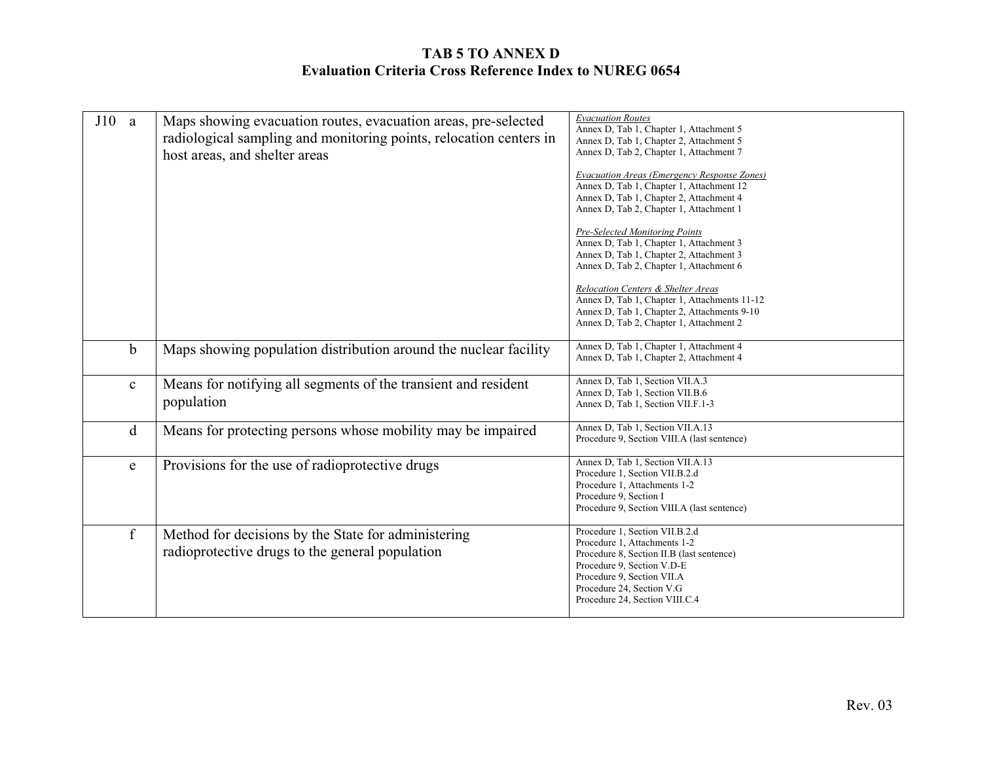| J10<br><sub>a</sub> | Maps showing evacuation routes, evacuation areas, pre-selected<br>radiological sampling and monitoring points, relocation centers in<br>host areas, and shelter areas | <b>Evacuation Routes</b><br>Annex D, Tab 1, Chapter 1, Attachment 5<br>Annex D, Tab 1, Chapter 2, Attachment 5<br>Annex D, Tab 2, Chapter 1, Attachment 7<br>Evacuation Areas (Emergency Response Zones)<br>Annex D, Tab 1, Chapter 1, Attachment 12 |
|---------------------|-----------------------------------------------------------------------------------------------------------------------------------------------------------------------|------------------------------------------------------------------------------------------------------------------------------------------------------------------------------------------------------------------------------------------------------|
|                     |                                                                                                                                                                       | Annex D, Tab 1, Chapter 2, Attachment 4<br>Annex D, Tab 2, Chapter 1, Attachment 1                                                                                                                                                                   |
|                     |                                                                                                                                                                       | Pre-Selected Monitoring Points<br>Annex D, Tab 1, Chapter 1, Attachment 3<br>Annex D, Tab 1, Chapter 2, Attachment 3<br>Annex D, Tab 2, Chapter 1, Attachment 6                                                                                      |
|                     |                                                                                                                                                                       | Relocation Centers & Shelter Areas<br>Annex D, Tab 1, Chapter 1, Attachments 11-12<br>Annex D, Tab 1, Chapter 2, Attachments 9-10<br>Annex D, Tab 2, Chapter 1, Attachment 2                                                                         |
| b                   | Maps showing population distribution around the nuclear facility                                                                                                      | Annex D, Tab 1, Chapter 1, Attachment 4<br>Annex D, Tab 1, Chapter 2, Attachment 4                                                                                                                                                                   |
| $\mathbf c$         | Means for notifying all segments of the transient and resident<br>population                                                                                          | Annex D, Tab 1, Section VII.A.3<br>Annex D, Tab 1, Section VII.B.6<br>Annex D, Tab 1, Section VII.F.1-3                                                                                                                                              |
| d                   | Means for protecting persons whose mobility may be impaired                                                                                                           | Annex D, Tab 1, Section VII.A.13<br>Procedure 9, Section VIII.A (last sentence)                                                                                                                                                                      |
| e                   | Provisions for the use of radioprotective drugs                                                                                                                       | Annex D, Tab 1, Section VII.A.13<br>Procedure 1, Section VII.B.2.d<br>Procedure 1. Attachments 1-2<br>Procedure 9, Section I<br>Procedure 9, Section VIII.A (last sentence)                                                                          |
| $\mathbf f$         | Method for decisions by the State for administering<br>radioprotective drugs to the general population                                                                | Procedure 1, Section VII.B.2.d<br>Procedure 1, Attachments 1-2<br>Procedure 8, Section II.B (last sentence)<br>Procedure 9, Section V.D-E<br>Procedure 9, Section VII.A<br>Procedure 24, Section V.G<br>Procedure 24, Section VIII.C.4               |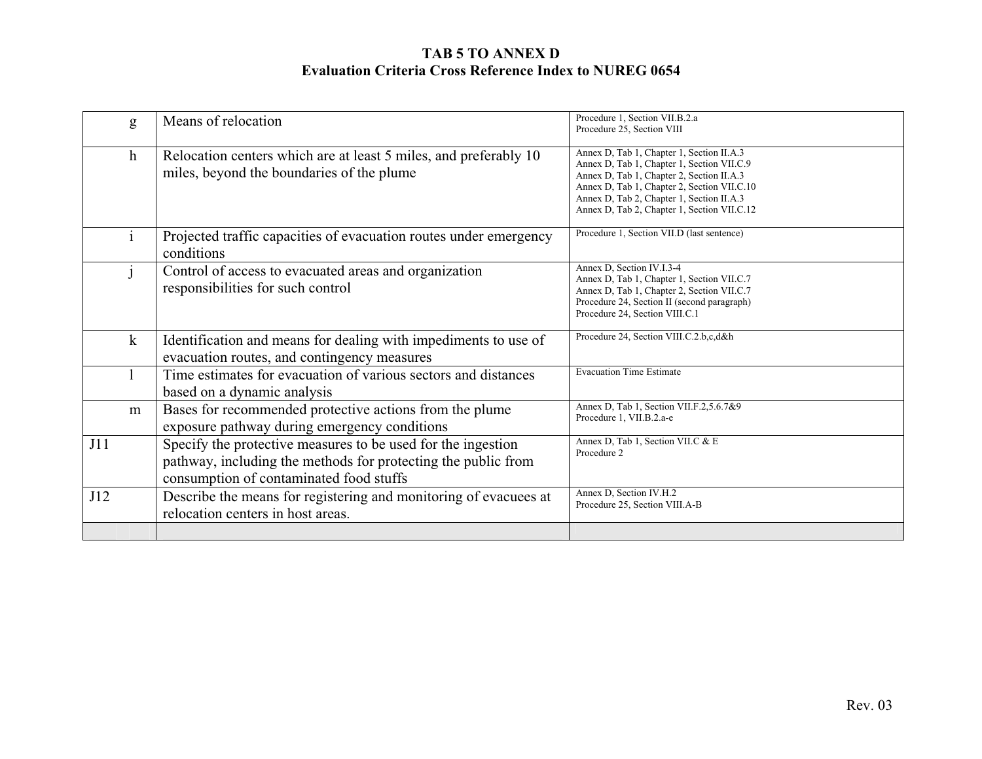|     | g            | Means of relocation                                                                                                                                                      | Procedure 1, Section VII.B.2.a<br>Procedure 25, Section VIII                                                                                                                                                                                                                    |
|-----|--------------|--------------------------------------------------------------------------------------------------------------------------------------------------------------------------|---------------------------------------------------------------------------------------------------------------------------------------------------------------------------------------------------------------------------------------------------------------------------------|
|     | $\mathbf{h}$ | Relocation centers which are at least 5 miles, and preferably 10<br>miles, beyond the boundaries of the plume                                                            | Annex D, Tab 1, Chapter 1, Section II.A.3<br>Annex D, Tab 1, Chapter 1, Section VII.C.9<br>Annex D, Tab 1, Chapter 2, Section II.A.3<br>Annex D, Tab 1, Chapter 2, Section VII.C.10<br>Annex D, Tab 2, Chapter 1, Section II.A.3<br>Annex D, Tab 2, Chapter 1, Section VII.C.12 |
|     | $\mathbf{i}$ | Projected traffic capacities of evacuation routes under emergency<br>conditions                                                                                          | Procedure 1, Section VII.D (last sentence)                                                                                                                                                                                                                                      |
|     |              | Control of access to evacuated areas and organization<br>responsibilities for such control                                                                               | Annex D, Section IV.I.3-4<br>Annex D, Tab 1, Chapter 1, Section VII.C.7<br>Annex D, Tab 1, Chapter 2, Section VII.C.7<br>Procedure 24, Section II (second paragraph)<br>Procedure 24, Section VIII.C.1                                                                          |
|     | $\bf k$      | Identification and means for dealing with impediments to use of<br>evacuation routes, and contingency measures                                                           | Procedure 24, Section VIII.C.2.b,c,d&h                                                                                                                                                                                                                                          |
|     | 1            | Time estimates for evacuation of various sectors and distances<br>based on a dynamic analysis                                                                            | <b>Evacuation Time Estimate</b>                                                                                                                                                                                                                                                 |
|     | m            | Bases for recommended protective actions from the plume<br>exposure pathway during emergency conditions                                                                  | Annex D, Tab 1, Section VII.F.2,5.6.7&9<br>Procedure 1, VII.B.2.a-e                                                                                                                                                                                                             |
| J11 |              | Specify the protective measures to be used for the ingestion<br>pathway, including the methods for protecting the public from<br>consumption of contaminated food stuffs | Annex D, Tab 1, Section VII.C & E<br>Procedure 2                                                                                                                                                                                                                                |
| J12 |              | Describe the means for registering and monitoring of evacuees at<br>relocation centers in host areas.                                                                    | Annex D, Section IV.H.2<br>Procedure 25, Section VIII.A-B                                                                                                                                                                                                                       |
|     |              |                                                                                                                                                                          |                                                                                                                                                                                                                                                                                 |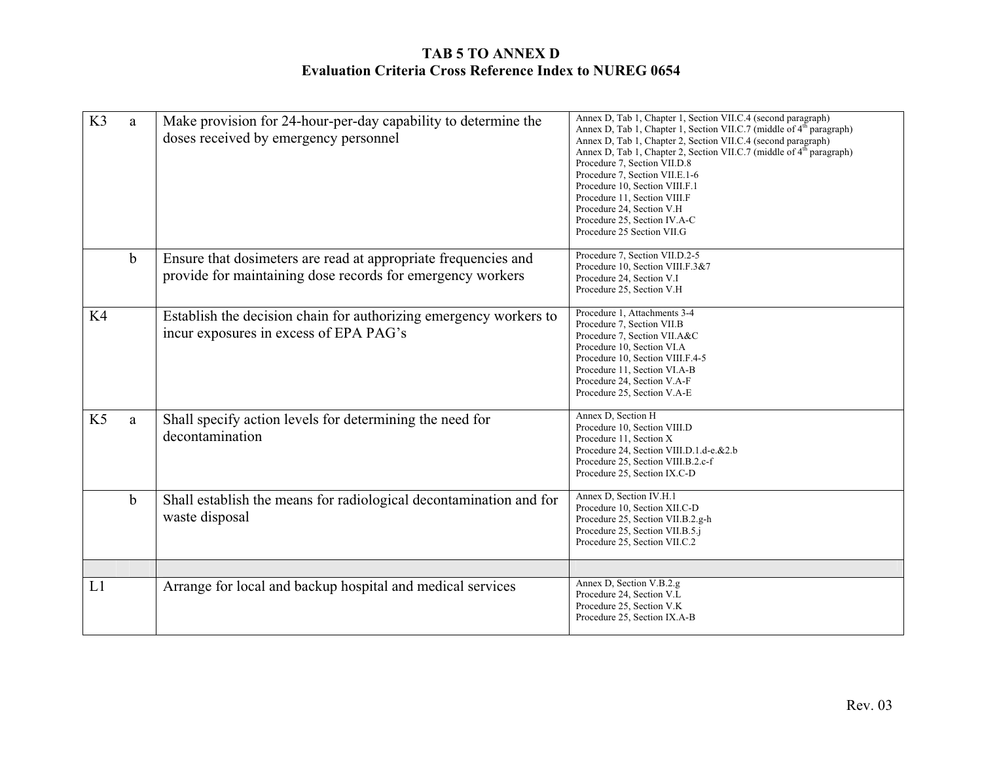| K3             | a           | Make provision for 24-hour-per-day capability to determine the<br>doses received by emergency personnel                      | Annex D, Tab 1, Chapter 1, Section VII.C.4 (second paragraph)<br>Annex D, Tab 1, Chapter 1, Section VII.C.7 (middle of 4 <sup>th</sup> paragraph)<br>Annex D, Tab 1, Chapter 2, Section VII.C.4 (second paragraph)<br>Annex D, Tab 1, Chapter 2, Section VII.C.7 (middle of 4 <sup>th</sup> paragraph)<br>Procedure 7, Section VII.D.8<br>Procedure 7, Section VII.E.1-6<br>Procedure 10, Section VIII.F.1<br>Procedure 11, Section VIII.F<br>Procedure 24, Section V.H<br>Procedure 25, Section IV.A-C<br>Procedure 25 Section VII.G |
|----------------|-------------|------------------------------------------------------------------------------------------------------------------------------|---------------------------------------------------------------------------------------------------------------------------------------------------------------------------------------------------------------------------------------------------------------------------------------------------------------------------------------------------------------------------------------------------------------------------------------------------------------------------------------------------------------------------------------|
|                | $\mathbf b$ | Ensure that dosimeters are read at appropriate frequencies and<br>provide for maintaining dose records for emergency workers | Procedure 7, Section VII.D.2-5<br>Procedure 10, Section VIII.F.3&7<br>Procedure 24, Section V.I<br>Procedure 25, Section V.H                                                                                                                                                                                                                                                                                                                                                                                                          |
| K4             |             | Establish the decision chain for authorizing emergency workers to<br>incur exposures in excess of EPA PAG's                  | Procedure 1, Attachments 3-4<br>Procedure 7, Section VII.B<br>Procedure 7, Section VII.A&C<br>Procedure 10, Section VI.A<br>Procedure 10, Section VIII.F.4-5<br>Procedure 11, Section VI.A-B<br>Procedure 24, Section V.A-F<br>Procedure 25, Section V.A-E                                                                                                                                                                                                                                                                            |
| K <sub>5</sub> | a           | Shall specify action levels for determining the need for<br>decontamination                                                  | Annex D, Section H<br>Procedure 10, Section VIII.D<br>Procedure 11, Section X<br>Procedure 24, Section VIII.D.1.d-e.&2.b<br>Procedure 25, Section VIII.B.2.c-f<br>Procedure 25, Section IX.C-D                                                                                                                                                                                                                                                                                                                                        |
|                | $\mathbf b$ | Shall establish the means for radiological decontamination and for<br>waste disposal                                         | Annex D, Section IV.H.1<br>Procedure 10, Section XII.C-D<br>Procedure 25, Section VII.B.2.g-h<br>Procedure 25, Section VII.B.5.j<br>Procedure 25, Section VII.C.2                                                                                                                                                                                                                                                                                                                                                                     |
| L1             |             | Arrange for local and backup hospital and medical services                                                                   | Annex D, Section V.B.2.g<br>Procedure 24, Section V.L<br>Procedure 25, Section V.K.<br>Procedure 25, Section IX.A-B                                                                                                                                                                                                                                                                                                                                                                                                                   |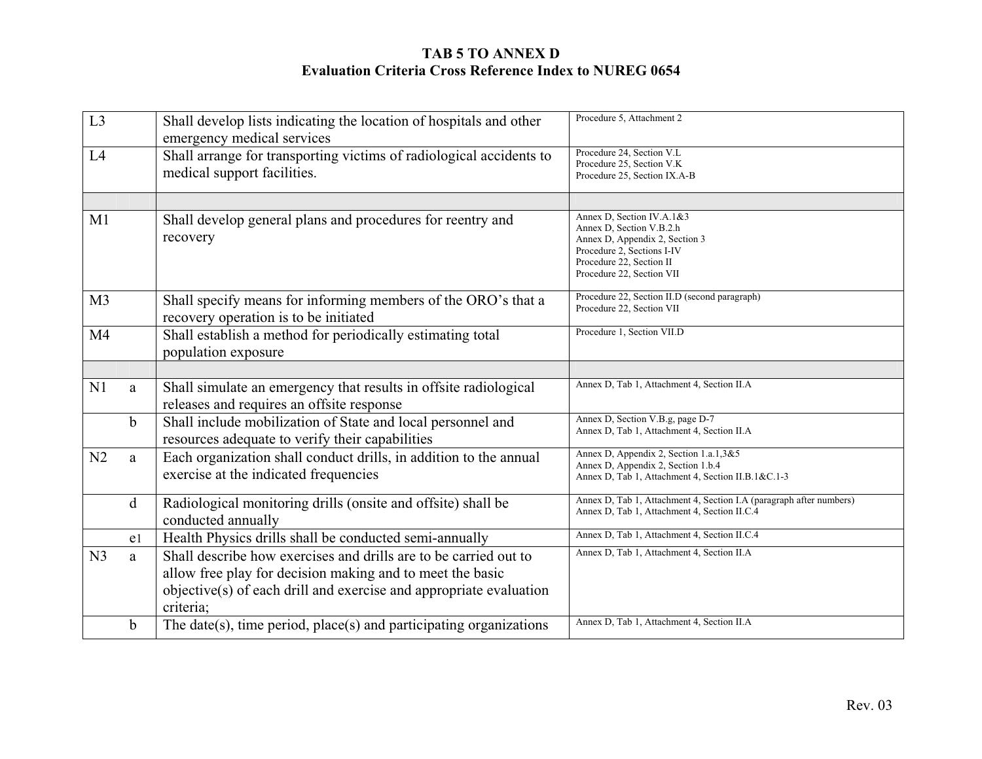| L <sub>3</sub> |                | Shall develop lists indicating the location of hospitals and other<br>emergency medical services | Procedure 5, Attachment 2                                                  |
|----------------|----------------|--------------------------------------------------------------------------------------------------|----------------------------------------------------------------------------|
| L4             |                | Shall arrange for transporting victims of radiological accidents to                              | Procedure 24, Section V.L.                                                 |
|                |                | medical support facilities.                                                                      | Procedure 25, Section V.K.<br>Procedure 25, Section IX.A-B                 |
|                |                |                                                                                                  |                                                                            |
|                |                |                                                                                                  |                                                                            |
| M1             |                | Shall develop general plans and procedures for reentry and                                       | Annex D, Section IV.A.1&3<br>Annex D, Section V.B.2.h                      |
|                |                | recovery                                                                                         | Annex D, Appendix 2, Section 3                                             |
|                |                |                                                                                                  | Procedure 2, Sections I-IV                                                 |
|                |                |                                                                                                  | Procedure 22, Section II<br>Procedure 22, Section VII                      |
|                |                |                                                                                                  |                                                                            |
| M <sub>3</sub> |                | Shall specify means for informing members of the ORO's that a                                    | Procedure 22, Section II.D (second paragraph)<br>Procedure 22, Section VII |
|                |                | recovery operation is to be initiated                                                            |                                                                            |
| M <sub>4</sub> |                | Shall establish a method for periodically estimating total                                       | Procedure 1, Section VII.D                                                 |
|                |                | population exposure                                                                              |                                                                            |
|                |                |                                                                                                  |                                                                            |
| N1             | a              | Shall simulate an emergency that results in offsite radiological                                 | Annex D, Tab 1, Attachment 4, Section II.A                                 |
|                |                | releases and requires an offsite response                                                        |                                                                            |
|                | $\mathbf b$    | Shall include mobilization of State and local personnel and                                      | Annex D, Section V.B.g, page D-7                                           |
|                |                | resources adequate to verify their capabilities                                                  | Annex D, Tab 1, Attachment 4, Section II.A                                 |
| N2             | a              | Each organization shall conduct drills, in addition to the annual                                | Annex D, Appendix 2, Section 1.a.1,3&5                                     |
|                |                | exercise at the indicated frequencies                                                            | Annex D, Appendix 2, Section 1.b.4                                         |
|                |                |                                                                                                  | Annex D, Tab 1, Attachment 4, Section II.B.1&C.1-3                         |
|                | d              | Radiological monitoring drills (onsite and offsite) shall be                                     | Annex D, Tab 1, Attachment 4, Section I.A (paragraph after numbers)        |
|                |                | conducted annually                                                                               | Annex D, Tab 1, Attachment 4, Section II.C.4                               |
|                | e <sub>1</sub> | Health Physics drills shall be conducted semi-annually                                           | Annex D, Tab 1, Attachment 4, Section II.C.4                               |
| N <sub>3</sub> | a              | Shall describe how exercises and drills are to be carried out to                                 | Annex D, Tab 1, Attachment 4, Section II.A                                 |
|                |                | allow free play for decision making and to meet the basic                                        |                                                                            |
|                |                | objective(s) of each drill and exercise and appropriate evaluation                               |                                                                            |
|                |                | criteria;                                                                                        |                                                                            |
|                | $\mathbf b$    | The date(s), time period, place(s) and participating organizations                               | Annex D, Tab 1, Attachment 4, Section II.A                                 |
|                |                |                                                                                                  |                                                                            |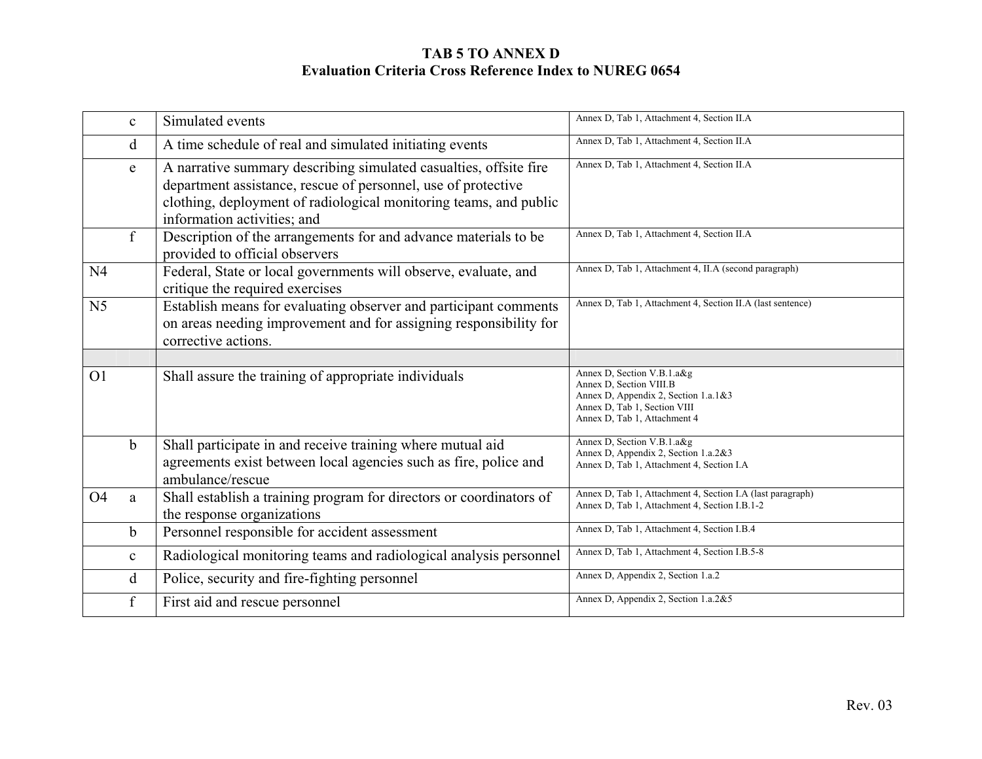|                | $\mathbf{c}$ | Simulated events                                                                                                                                                                                                                       | Annex D, Tab 1, Attachment 4, Section II.A                                                                                                                    |
|----------------|--------------|----------------------------------------------------------------------------------------------------------------------------------------------------------------------------------------------------------------------------------------|---------------------------------------------------------------------------------------------------------------------------------------------------------------|
|                | d            | A time schedule of real and simulated initiating events                                                                                                                                                                                | Annex D, Tab 1, Attachment 4, Section II.A                                                                                                                    |
|                | e            | A narrative summary describing simulated casualties, offsite fire<br>department assistance, rescue of personnel, use of protective<br>clothing, deployment of radiological monitoring teams, and public<br>information activities; and | Annex D, Tab 1, Attachment 4, Section II.A                                                                                                                    |
|                | f            | Description of the arrangements for and advance materials to be<br>provided to official observers                                                                                                                                      | Annex D, Tab 1, Attachment 4, Section II.A                                                                                                                    |
| N <sub>4</sub> |              | Federal, State or local governments will observe, evaluate, and<br>critique the required exercises                                                                                                                                     | Annex D, Tab 1, Attachment 4, II.A (second paragraph)                                                                                                         |
| N <sub>5</sub> |              | Establish means for evaluating observer and participant comments<br>on areas needing improvement and for assigning responsibility for<br>corrective actions.                                                                           | Annex D, Tab 1, Attachment 4, Section II.A (last sentence)                                                                                                    |
|                |              |                                                                                                                                                                                                                                        |                                                                                                                                                               |
| O <sub>1</sub> |              | Shall assure the training of appropriate individuals                                                                                                                                                                                   | Annex D, Section V.B.1.a&g<br>Annex D, Section VIII.B<br>Annex D, Appendix 2, Section 1.a.1&3<br>Annex D, Tab 1, Section VIII<br>Annex D, Tab 1, Attachment 4 |
|                | b            | Shall participate in and receive training where mutual aid<br>agreements exist between local agencies such as fire, police and<br>ambulance/rescue                                                                                     | Annex D, Section V.B.1.a&g<br>Annex D, Appendix 2, Section 1.a.2&3<br>Annex D, Tab 1, Attachment 4, Section I.A.                                              |
| O <sub>4</sub> | a            | Shall establish a training program for directors or coordinators of<br>the response organizations                                                                                                                                      | Annex D, Tab 1, Attachment 4, Section I.A (last paragraph)<br>Annex D, Tab 1, Attachment 4, Section I.B.1-2                                                   |
|                | $\mathbf b$  | Personnel responsible for accident assessment                                                                                                                                                                                          | Annex D, Tab 1, Attachment 4, Section I.B.4                                                                                                                   |
|                | $\mathbf{C}$ | Radiological monitoring teams and radiological analysis personnel                                                                                                                                                                      | Annex D, Tab 1, Attachment 4, Section I.B.5-8                                                                                                                 |
|                | d            | Police, security and fire-fighting personnel                                                                                                                                                                                           | Annex D, Appendix 2, Section 1.a.2                                                                                                                            |
|                | f            | First aid and rescue personnel                                                                                                                                                                                                         | Annex D, Appendix 2, Section 1.a.2&5                                                                                                                          |